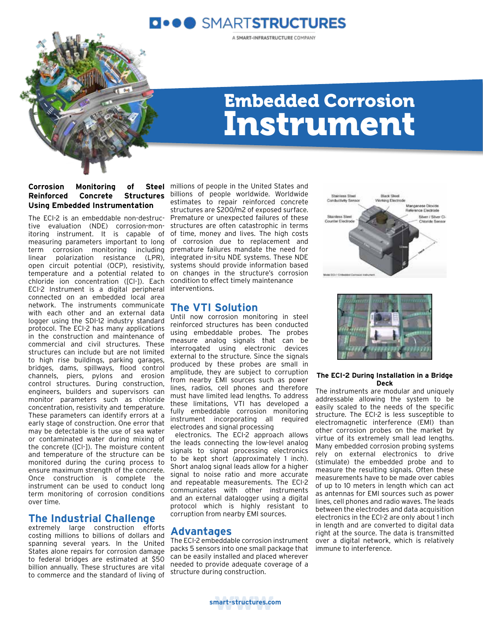

A SMART-INFRASTRUCTURE COMPANY



## Embedded Corrosion Instrument

## **Corrosion Monitoring of Reinforced Concrete Structures**  billions of people worldwide. Worldwide **Using Embedded Instrumentation**

The ECI-2 is an embeddable non-destructive evaluation (NDE) corrosion-monitoring instrument. It is capable of measuring parameters important to long term corrosion monitoring including linear polarization resistance (LPR), open circuit potential (OCP), resistivity, temperature and a potential related to chloride ion concentration ([Cl-]). Each ECI-2 Instrument is a digital peripheral interventions. connected on an embedded local area network. The instruments communicate with each other and an external data logger using the SDI-12 industry standard protocol. The ECI-2 has many applications in the construction and maintenance of commercial and civil structures. These structures can include but are not limited to high rise buildings, parking garages, bridges, dams, spillways, flood control channels, piers, pylons and erosion control structures. During construction, engineers, builders and supervisors can monitor parameters such as chloride concentration, resistivity and temperature. These parameters can identify errors at a early stage of construction. One error that may be detectable is the use of sea water or contaminated water during mixing of the concrete ([Cl-]). The moisture content and temperature of the structure can be monitored during the curing process to ensure maximum strength of the concrete. Once construction is complete the instrument can be used to conduct long term monitoring of corrosion conditions over time.

## **The Industrial Challenge**

extremely large construction efforts costing millions to billions of dollars and spanning several years. In the United States alone repairs for corrosion damage to federal bridges are estimated at \$50 billion annually. These structures are vital to commerce and the standard of living of

Steel millions of people in the United States and estimates to repair reinforced concrete structures are \$200/m2 of exposed surface. Premature or unexpected failures of these structures are often catastrophic in terms of time, money and lives. The high costs of corrosion due to replacement and premature failures mandate the need for integrated in-situ NDE systems. These NDE systems should provide information based on changes in the structure's corrosion condition to effect timely maintenance

## **The VTI Solution**

Until now corrosion monitoring in steel reinforced structures has been conducted using embeddable probes. The probes measure analog signals that can be interrogated using electronic devices external to the structure. Since the signals produced by these probes are small in amplitude, they are subject to corruption from nearby EMI sources such as power lines, radios, cell phones and therefore must have limited lead lengths. To address these limitations, VTI has developed a fully embeddable corrosion monitoring instrument incorporating all required electrodes and signal processing

 electronics. The ECI-2 approach allows the leads connecting the low-level analog signals to signal processing electronics to be kept short (approximately 1 inch). Short analog signal leads allow for a higher signal to noise ratio and more accurate and repeatable measurements. The ECI-2 communicates with other instruments and an external datalogger using a digital protocol which is highly resistant to corruption from nearby EMI sources.

## **Advantages**

The ECI-2 embeddable corrosion instrument packs 5 sensors into one small package that can be easily installed and placed wherever needed to provide adequate coverage of a structure during construction.





## **The ECI-2 During Installation in a Bridge Deck**

The instruments are modular and uniquely addressable allowing the system to be easily scaled to the needs of the specific structure. The ECI-2 is less susceptible to electromagnetic interference (EMI) than other corrosion probes on the market by virtue of its extremely small lead lengths. Many embedded corrosion probing systems rely on external electronics to drive (stimulate) the embedded probe and to measure the resulting signals. Often these measurements have to be made over cables of up to 10 meters in length which can act as antennas for EMI sources such as power lines, cell phones and radio waves. The leads between the electrodes and data acquisition electronics in the ECI-2 are only about 1 inch in length and are converted to digital data right at the source. The data is transmitted over a digital network, which is relatively immune to interference.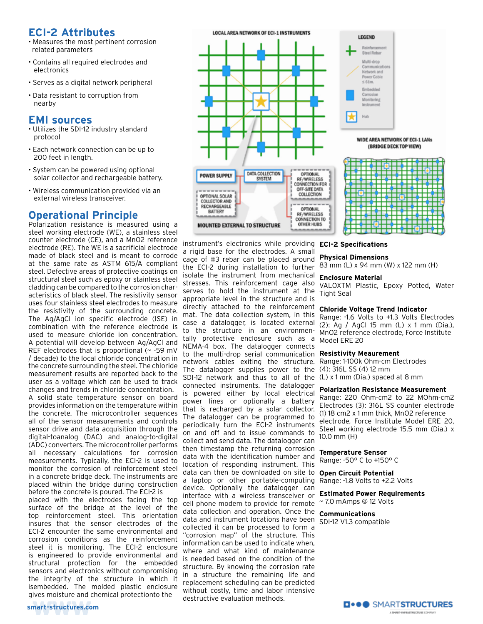## **ECI-2 Attributes**

- Measures the most pertinent corrosion related parameters
- Contains all required electrodes and electronics
- Serves as a digital network peripheral
- Data resistant to corruption from nearby

## **EMI sources**

- Utilizes the SDI-12 industry standard protocol
- Each network connection can be up to 200 feet in length.
- System can be powered using optional solar collector and rechargeable battery.
- Wireless communication provided via an external wireless transceiver.

## **Operational Principle**

Polarization resistance is measured using a steel working electrode (WE), a stainless steel counter electrode (CE), and a MnO2 reference electrode (RE). The WE is a sacrificial electrode made of black steel and is meant to corrode at the same rate as ASTM 615/A compliant steel. Defective areas of protective coatings on structural steel such as epoxy or stainless steel cladding can be compared to the corrosion characteristics of black steel. The resistivity sensor uses four stainless steel electrodes to measure the resistivity of the surrounding concrete. The Ag/AgCl ion specific electrode (ISE) in combination with the reference electrode is used to measure chloride ion concentration. A potential will develop between Ag/AgCl and REF electrodes that is proportional (~ -59 mV / decade) to the local chloride concentration in the concrete surrounding the steel. The chloride measurement results are reported back to the user as a voltage which can be used to track changes and trends in chloride concentration.

A solid state temperature sensor on board provides information on the temperature within the concrete. The microcontroller sequences all of the sensor measurements and controls sensor drive and data acquisition through the digital-toanalog (DAC) and analog-to-digital (ADC) converters. The microcontroller performs all necessary calculations for corrosion measurements. Typically, the ECI-2 is used to monitor the corrosion of reinforcement steel in a concrete bridge deck. The instruments are placed within the bridge during construction before the concrete is poured. The ECI-2 is

placed with the electrodes facing the top surface of the bridge at the level of the top reinforcement steel. This orientation insures that the sensor electrodes of the ECI-2 encounter the same environmental and corrosion conditions as the reinforcement steel it is monitoring. The ECI-2 enclosure is engineered to provide environmental and structural protection for the embedded sensors and electronics without compromising the integrity of the structure in which it isembedded. The molded plastic enclosure gives moisture and chemical protectionto the



instrument's electronics while providing **ECI-2 Specifications** a rigid base for the electrodes. A small cage of #3 rebar can be placed around the ECI-2 during installation to further isolate the instrument from mechanical stresses. This reinforcement cage also serves to hold the instrument at the appropriate level in the structure and is directly attached to the reinforcement mat. The data collection system, in this case a datalogger, is located external to the structure in an environmentally protective enclosure such as a NEMA-4 box. The datalogger connects to the multi-drop serial communication **Resistivity Meaurement** network cables exiting the structure. The datalogger supplies power to the SDI-12 network and thus to all of the (L) x 1 mm (Dia.) spaced at 8 mm connected instruments. The datalogger is powered either by local electrical power lines or optionally a battery that is recharged by a solar collector. The datalogger can be programmed to periodically turn the ECI-2 instruments on and off and to issue commands to collect and send data. The datalogger can then timestamp the returning corrosion data with the identification number and location of responding instrument. This data can then be downloaded on site to a laptop or other portable-computing device. Optionally the datalogger can interface with a wireless transceiver or cell phone modem to provide for remote data collection and operation. Once the data and instrument locations have been SDI-12 V1.3 compatible collected it can be processed to form a "corrosion map" of the structure. This information can be used to indicate when, where and what kind of maintenance is needed based on the condition of the structure. By knowing the corrosion rate in a structure the remaining life and replacement scheduling can be predicted without costly, time and labor intensive destructive evaluation methods.

# WIDE AREA NETWORK OF ECI-1 LANs (BRIDGE DECK TOP VIEW)

## **Physical Dimensions**

83 mm (L) x 94 mm (W) x 122 mm (H)

## **Enclosure Material**

VALOXTM Plastic, Epoxy Potted, Water Tight Seal

## **Chloride Voltage Trend Indicator**

Range: -1.6 Volts to +1.3 Volts Electrodes (2): Ag / AgCl 15 mm (L) x 1 mm (Dia.), MnO2 reference electrode, Force Institute Model ERE 20

Range: 1-100k Ohm-cm Electrodes (4): 316L SS (4) 12 mm

## **Polarization Resistance Measurement**

Range: 220 Ohm-cm2 to 22 MOhm-cm2 Electrodes (3): 316L SS counter electrode (1) 18 cm2 x 1 mm thick, MnO2 reference electrode, Force Institute Model ERE 20, Steel working electrode 15.5 mm (Dia.) x 10.0 mm (H)

## **Temperature Sensor**

Range: -50° C to +150° C

## **Open Circuit Potential**

Range: -1.8 Volts to +2.2 Volts

## **Estimated Power Requirements**

~ 7.0 mAmps @ 12 Volts

**Communications**